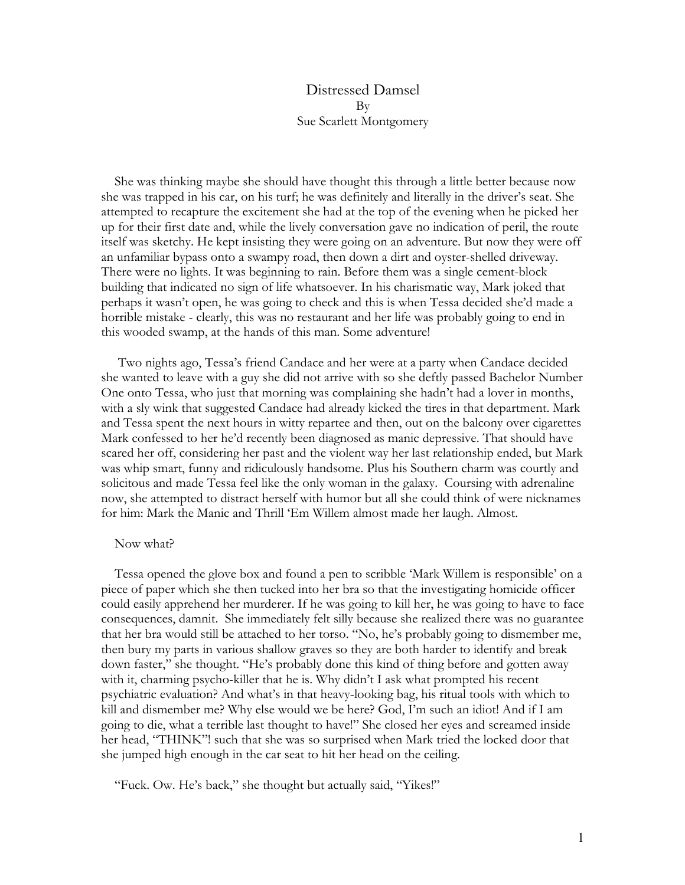## Distressed Damsel By Sue Scarlett Montgomery

 She was thinking maybe she should have thought this through a little better because now she was trapped in his car, on his turf; he was definitely and literally in the driver's seat. She attempted to recapture the excitement she had at the top of the evening when he picked her up for their first date and, while the lively conversation gave no indication of peril, the route itself was sketchy. He kept insisting they were going on an adventure. But now they were off an unfamiliar bypass onto a swampy road, then down a dirt and oyster-shelled driveway. There were no lights. It was beginning to rain. Before them was a single cement-block building that indicated no sign of life whatsoever. In his charismatic way, Mark joked that perhaps it wasn't open, he was going to check and this is when Tessa decided she'd made a horrible mistake - clearly, this was no restaurant and her life was probably going to end in this wooded swamp, at the hands of this man. Some adventure!

 Two nights ago, Tessa's friend Candace and her were at a party when Candace decided she wanted to leave with a guy she did not arrive with so she deftly passed Bachelor Number One onto Tessa, who just that morning was complaining she hadn't had a lover in months, with a sly wink that suggested Candace had already kicked the tires in that department. Mark and Tessa spent the next hours in witty repartee and then, out on the balcony over cigarettes Mark confessed to her he'd recently been diagnosed as manic depressive. That should have scared her off, considering her past and the violent way her last relationship ended, but Mark was whip smart, funny and ridiculously handsome. Plus his Southern charm was courtly and solicitous and made Tessa feel like the only woman in the galaxy. Coursing with adrenaline now, she attempted to distract herself with humor but all she could think of were nicknames for him: Mark the Manic and Thrill 'Em Willem almost made her laugh. Almost.

## Now what?

 Tessa opened the glove box and found a pen to scribble 'Mark Willem is responsible' on a piece of paper which she then tucked into her bra so that the investigating homicide officer could easily apprehend her murderer. If he was going to kill her, he was going to have to face consequences, damnit. She immediately felt silly because she realized there was no guarantee that her bra would still be attached to her torso. "No, he's probably going to dismember me, then bury my parts in various shallow graves so they are both harder to identify and break down faster," she thought. "He's probably done this kind of thing before and gotten away with it, charming psycho-killer that he is. Why didn't I ask what prompted his recent psychiatric evaluation? And what's in that heavy-looking bag, his ritual tools with which to kill and dismember me? Why else would we be here? God, I'm such an idiot! And if I am going to die, what a terrible last thought to have!" She closed her eyes and screamed inside her head, "THINK"! such that she was so surprised when Mark tried the locked door that she jumped high enough in the car seat to hit her head on the ceiling.

"Fuck. Ow. He's back," she thought but actually said, "Yikes!"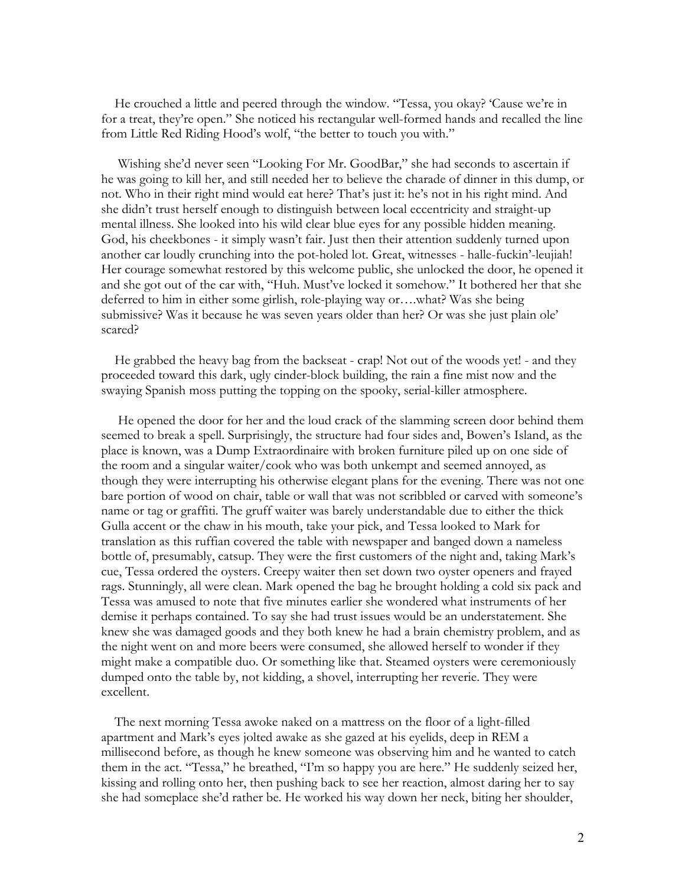He crouched a little and peered through the window. "Tessa, you okay? 'Cause we're in for a treat, they're open." She noticed his rectangular well-formed hands and recalled the line from Little Red Riding Hood's wolf, "the better to touch you with."

 Wishing she'd never seen "Looking For Mr. GoodBar," she had seconds to ascertain if he was going to kill her, and still needed her to believe the charade of dinner in this dump, or not. Who in their right mind would eat here? That's just it: he's not in his right mind. And she didn't trust herself enough to distinguish between local eccentricity and straight-up mental illness. She looked into his wild clear blue eyes for any possible hidden meaning. God, his cheekbones - it simply wasn't fair. Just then their attention suddenly turned upon another car loudly crunching into the pot-holed lot. Great, witnesses - halle-fuckin'-leujiah! Her courage somewhat restored by this welcome public, she unlocked the door, he opened it and she got out of the car with, "Huh. Must've locked it somehow." It bothered her that she deferred to him in either some girlish, role-playing way or….what? Was she being submissive? Was it because he was seven years older than her? Or was she just plain ole' scared?

 He grabbed the heavy bag from the backseat - crap! Not out of the woods yet! - and they proceeded toward this dark, ugly cinder-block building, the rain a fine mist now and the swaying Spanish moss putting the topping on the spooky, serial-killer atmosphere.

 He opened the door for her and the loud crack of the slamming screen door behind them seemed to break a spell. Surprisingly, the structure had four sides and, Bowen's Island, as the place is known, was a Dump Extraordinaire with broken furniture piled up on one side of the room and a singular waiter/cook who was both unkempt and seemed annoyed, as though they were interrupting his otherwise elegant plans for the evening. There was not one bare portion of wood on chair, table or wall that was not scribbled or carved with someone's name or tag or graffiti. The gruff waiter was barely understandable due to either the thick Gulla accent or the chaw in his mouth, take your pick, and Tessa looked to Mark for translation as this ruffian covered the table with newspaper and banged down a nameless bottle of, presumably, catsup. They were the first customers of the night and, taking Mark's cue, Tessa ordered the oysters. Creepy waiter then set down two oyster openers and frayed rags. Stunningly, all were clean. Mark opened the bag he brought holding a cold six pack and Tessa was amused to note that five minutes earlier she wondered what instruments of her demise it perhaps contained. To say she had trust issues would be an understatement. She knew she was damaged goods and they both knew he had a brain chemistry problem, and as the night went on and more beers were consumed, she allowed herself to wonder if they might make a compatible duo. Or something like that. Steamed oysters were ceremoniously dumped onto the table by, not kidding, a shovel, interrupting her reverie. They were excellent.

 The next morning Tessa awoke naked on a mattress on the floor of a light-filled apartment and Mark's eyes jolted awake as she gazed at his eyelids, deep in REM a millisecond before, as though he knew someone was observing him and he wanted to catch them in the act. "Tessa," he breathed, "I'm so happy you are here." He suddenly seized her, kissing and rolling onto her, then pushing back to see her reaction, almost daring her to say she had someplace she'd rather be. He worked his way down her neck, biting her shoulder,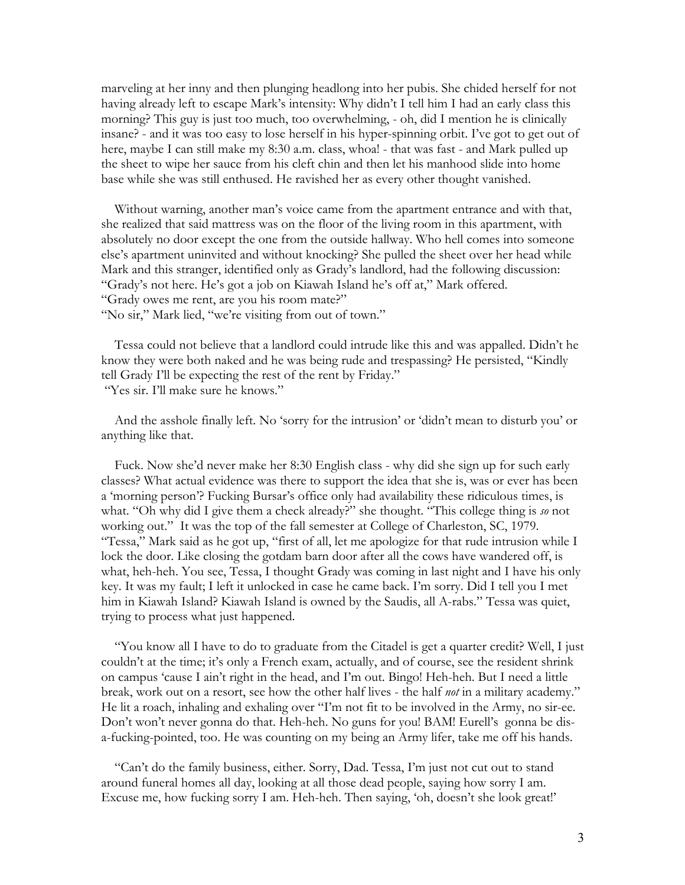marveling at her inny and then plunging headlong into her pubis. She chided herself for not having already left to escape Mark's intensity: Why didn't I tell him I had an early class this morning? This guy is just too much, too overwhelming, - oh, did I mention he is clinically insane? - and it was too easy to lose herself in his hyper-spinning orbit. I've got to get out of here, maybe I can still make my 8:30 a.m. class, whoa! - that was fast - and Mark pulled up the sheet to wipe her sauce from his cleft chin and then let his manhood slide into home base while she was still enthused. He ravished her as every other thought vanished.

 Without warning, another man's voice came from the apartment entrance and with that, she realized that said mattress was on the floor of the living room in this apartment, with absolutely no door except the one from the outside hallway. Who hell comes into someone else's apartment uninvited and without knocking? She pulled the sheet over her head while Mark and this stranger, identified only as Grady's landlord, had the following discussion: "Grady's not here. He's got a job on Kiawah Island he's off at," Mark offered. "Grady owes me rent, are you his room mate?"

"No sir," Mark lied, "we're visiting from out of town."

 Tessa could not believe that a landlord could intrude like this and was appalled. Didn't he know they were both naked and he was being rude and trespassing? He persisted, "Kindly tell Grady I'll be expecting the rest of the rent by Friday." "Yes sir. I'll make sure he knows."

 And the asshole finally left. No 'sorry for the intrusion' or 'didn't mean to disturb you' or anything like that.

 Fuck. Now she'd never make her 8:30 English class - why did she sign up for such early classes? What actual evidence was there to support the idea that she is, was or ever has been a 'morning person'? Fucking Bursar's office only had availability these ridiculous times, is what. "Oh why did I give them a check already?" she thought. "This college thing is *so* not working out." It was the top of the fall semester at College of Charleston, SC, 1979. "Tessa," Mark said as he got up, "first of all, let me apologize for that rude intrusion while I lock the door. Like closing the gotdam barn door after all the cows have wandered off, is what, heh-heh. You see, Tessa, I thought Grady was coming in last night and I have his only key. It was my fault; I left it unlocked in case he came back. I'm sorry. Did I tell you I met him in Kiawah Island? Kiawah Island is owned by the Saudis, all A-rabs." Tessa was quiet, trying to process what just happened.

 "You know all I have to do to graduate from the Citadel is get a quarter credit? Well, I just couldn't at the time; it's only a French exam, actually, and of course, see the resident shrink on campus 'cause I ain't right in the head, and I'm out. Bingo! Heh-heh. But I need a little break, work out on a resort, see how the other half lives - the half *not* in a military academy." He lit a roach, inhaling and exhaling over "I'm not fit to be involved in the Army, no sir-ee. Don't won't never gonna do that. Heh-heh. No guns for you! BAM! Eurell's gonna be disa-fucking-pointed, too. He was counting on my being an Army lifer, take me off his hands.

 "Can't do the family business, either. Sorry, Dad. Tessa, I'm just not cut out to stand around funeral homes all day, looking at all those dead people, saying how sorry I am. Excuse me, how fucking sorry I am. Heh-heh. Then saying, 'oh, doesn't she look great!'